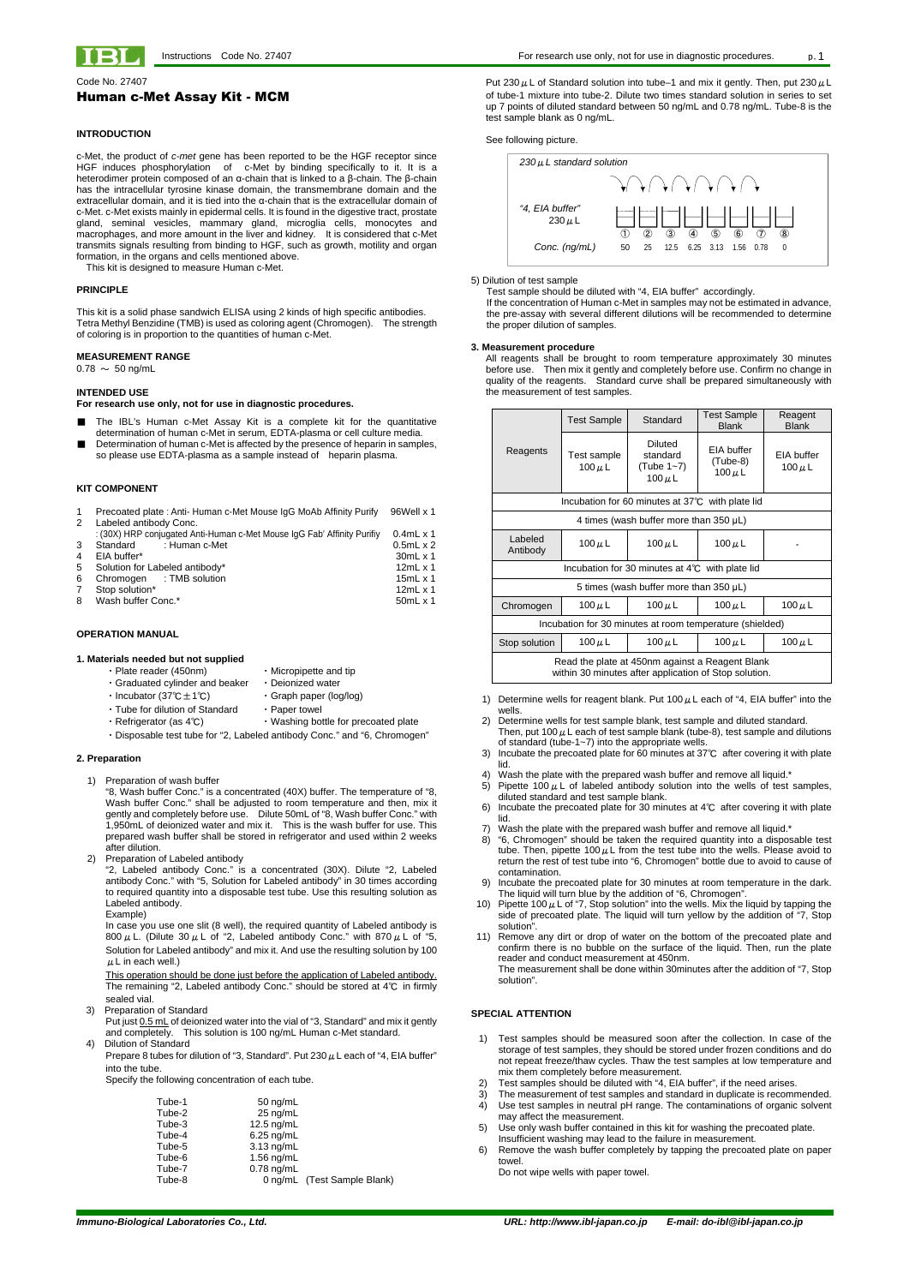**Immuno-Biological Laboratories Co., Ltd. URL: http://www.ibl-japan.co.jp E-mail: do-ibl@ibl-japan.co.jp**



Code No. 27407

# Human c-Met Assay Kit - MCM

### **INTRODUCTION**

c-Met, the product of c-met gene has been reported to be the HGF receptor since HGF induces phosphorylation of c-Met by binding specifically to it. It is a heterodimer protein composed of an α-chain that is linked to a β-chain. The β-chain has the intracellular tyrosine kinase domain, the transmembrane domain and the extracellular domain, and it is tied into the α-chain that is the extracellular domain of c-Met. c-Met exists mainly in epidermal cells. It is found in the digestive tract, prostate gland, seminal vesicles, mammary gland, microglia cells, monocytes and macrophages, and more amount in the liver and kidney. It is considered that c-Met transmits signals resulting from binding to HGF, such as growth, motility and organ formation, in the organs and cells mentioned above.

- The IBL's Human c-Met Assay Kit is a complete kit for the quantitative determination of human c-Met in serum, EDTA-plasma or cell culture media.
- Determination of human c-Met is affected by the presence of heparin in samples, so please use EDTA-plasma as a sample instead of heparin plasma.

This kit is designed to measure Human c-Met.

#### **PRINCIPLE**

This kit is a solid phase sandwich ELISA using 2 kinds of high specific antibodies. Tetra Methyl Benzidine (TMB) is used as coloring agent (Chromogen). The strength of coloring is in proportion to the quantities of human c-Met.

- Plate reader (450nm) Micropipette and tip
	-
- ・Graduated cylinder and beaker ・Deionized water
- ・Incubator (37℃±1℃) ・Graph paper (log/log)
- ・Tube for dilution of Standard ・Paper towel
	-
- ・Refrigerator (as 4℃) ・Washing bottle for precoated plate
- ・Disposable test tube for "2, Labeled antibody Conc." and "6, Chromogen"

### **MEASUREMENT RANGE**

 $0.78 \sim 50$  ng/mL

### **INTENDED USE**

**For research use only, not for use in diagnostic procedures.** 

In case you use one slit (8 well), the required quantity of Labeled antibody is 800  $\mu$  L. (Dilute 30  $\mu$  L of "2, Labeled antibody Conc." with 870  $\mu$  L of "5, Solution for Labeled antibody" and mix it. And use the resulting solution by 100  $\mu$  L in each well.)

### **KIT COMPONENT**

Put just 0.5 mL of deionized water into the vial of "3, Standard" and mix it gently and completely. This solution is 100 ng/mL Human c-Met standard.

|    | Precoated plate: Anti-Human c-Met Mouse IgG MoAb Affinity Purify        | 96Well x 1       |
|----|-------------------------------------------------------------------------|------------------|
| 2  | Labeled antibody Conc.                                                  |                  |
|    | : (30X) HRP conjugated Anti-Human c-Met Mouse IgG Fab' Affinity Purifiy | $0.4$ mL x 1     |
| 3  | Standard : Human c-Met                                                  | $0.5mL \times 2$ |
| 4  | EIA buffer*                                                             | $30mL \times 1$  |
| 5. | Solution for Labeled antibody*                                          | 12 $mL \times 1$ |
| 6  | Chromogen : TMB solution                                                | 15 $mL \times 1$ |
| 7  | Stop solution*                                                          | 12 $mL \times 1$ |
| 8  | Wash buffer Conc.*                                                      | $50mL \times 1$  |

Prepare 8 tubes for dilution of "3, Standard". Put 230  $\mu$  L each of "4, EIA buffer" into the tube.

### **OPERATION MANUAL**

#### **1. Materials needed but not supplied**

Put 230  $\mu$  L of Standard solution into tube–1 and mix it gently. Then, put 230  $\mu$  L of tube-1 mixture into tube-2. Dilute two times standard solution in series to set up 7 points of diluted standard between 50 ng/mL and 0.78 ng/mL. Tube-8 is the test sample blank as 0 ng/mL.

# **2. Preparation**

1) Preparation of wash buffer

 "8, Wash buffer Conc." is a concentrated (40X) buffer. The temperature of "8, Wash buffer Conc." shall be adjusted to room temperature and then, mix it gently and completely before use. Dilute 50mL of "8, Wash buffer Conc." with 1,950mL of deionized water and mix it. This is the wash buffer for use. This prepared wash buffer shall be stored in refrigerator and used within 2 weeks after dilution.

2) Preparation of Labeled antibody

 "2, Labeled antibody Conc." is a concentrated (30X). Dilute "2, Labeled antibody Conc." with "5, Solution for Labeled antibody" in 30 times according to required quantity into a disposable test tube. Use this resulting solution as Labeled antibody. Example)

This operation should be done just before the application of Labeled antibody. The remaining "2, Labeled antibody Conc." should be stored at 4℃ in firmly sealed vial.

3) Preparation of Standard

- 1) Determine wells for reagent blank. Put 100  $\mu$  L each of "4, EIA buffer" into the wells.
- 2) Determine wells for test sample blank, test sample and diluted standard. Then, put 100  $\mu$  L each of test sample blank (tube-8), test sample and dilutions of standard (tube-1~7) into the appropriate wells.
- 3) Incubate the precoated plate for 60 minutes at 37℃ after covering it with plate lid.
- Wash the plate with the prepared wash buffer and remove all liquid.\*
- 5) Pipette 100  $\mu$  L of labeled antibody solution into the wells of test samples,
- diluted standard and test sample blank. 6) Incubate the precoated plate for 30 minutes at 4℃ after covering it with plate
- lid. 7) Wash the plate with the prepared wash buffer and remove all liquid.\*
- 8) "6, Chromogen" should be taken the required quantity into a disposable test tube. Then, pipette 100  $\mu$  L from the test tube into the wells. Please avoid to return the rest of test tube into "6, Chromogen" bottle due to avoid to cause of contamination.
- 9) Incubate the precoated plate for 30 minutes at room temperature in the dark. The liquid will turn blue by the addition of "6, Chromogen".
- 10) Pipette 100  $\mu$  L of "7, Stop solution" into the wells. Mix the liquid by tapping the side of precoated plate. The liquid will turn yellow by the addition of "7, Stop solution".
- 11) Remove any dirt or drop of water on the bottom of the precoated plate and confirm there is no bubble on the surface of the liquid. Then, run the plate reader and conduct measurement at 450nm. The measurement shall be done within 30minutes after the addition of "7, Stop

4) Dilution of Standard

Specify the following concentration of each tube.

| $50 \text{ nq/mL}$ |                             |
|--------------------|-----------------------------|
| $25 \text{ nq/mL}$ |                             |
| 12.5 $ng/mL$       |                             |
| $6.25$ ng/mL       |                             |
| $3.13$ ng/mL       |                             |
| 1.56 $ng/mL$       |                             |
| $0.78$ ng/mL       |                             |
|                    | 0 ng/mL (Test Sample Blank) |
|                    |                             |

See following picture.



#### 5) Dilution of test sample

Test sample should be diluted with "4, EIA buffer" accordingly. If the concentration of Human c-Met in samples may not be estimated in advance, the pre-assay with several different dilutions will be recommended to determine the proper dilution of samples.

#### **3. Measurement procedure**

All reagents shall be brought to room temperature approximately 30 minutes before use. Then mix it gently and completely before use. Confirm no change in quality of the reagents. Standard curve shall be prepared simultaneously with the measurement of test samples.

|                                                                                                          | <b>Test Sample</b>                           | Standard                                                | <b>Test Sample</b><br><b>Blank</b>    | Reagent<br><b>Blank</b>   |
|----------------------------------------------------------------------------------------------------------|----------------------------------------------|---------------------------------------------------------|---------------------------------------|---------------------------|
| Reagents                                                                                                 | Test sample<br>$100 \mu L$                   | <b>Diluted</b><br>standard<br>(Tube 1~7)<br>100 $\mu$ L | EIA buffer<br>(Tube-8)<br>$100 \mu L$ | EIA buffer<br>100 $\mu$ L |
|                                                                                                          |                                              | Incubation for 60 minutes at 37°C with plate lid        |                                       |                           |
|                                                                                                          | 4 times (wash buffer more than $350 \mu L$ ) |                                                         |                                       |                           |
| Labeled<br>Antibody                                                                                      | 100 $\mu$ L                                  | 100 $\mu$ L                                             | 100 $\mu$ L                           |                           |
| Incubation for 30 minutes at $4^{\circ}$ C with plate lid                                                |                                              |                                                         |                                       |                           |
| 5 times (wash buffer more than $350 \mu L$ )                                                             |                                              |                                                         |                                       |                           |
| Chromogen                                                                                                | 100 $\mu$ L                                  | 100 $\mu$ L                                             | $100 \mu L$                           | 100 $\mu$ L               |
| Incubation for 30 minutes at room temperature (shielded)                                                 |                                              |                                                         |                                       |                           |
| Stop solution                                                                                            | 100 $\mu$ L                                  | 100 $\mu$ L                                             | $100 \mu L$                           | 100 $\mu$ L               |
| Read the plate at 450nm against a Reagent Blank<br>within 30 minutes after application of Stop solution. |                                              |                                                         |                                       |                           |

solution".

# **SPECIAL ATTENTION**

- 1) Test samples should be measured soon after the collection. In case of the storage of test samples, they should be stored under frozen conditions and do not repeat freeze/thaw cycles. Thaw the test samples at low temperature and mix them completely before measurement.
- 2) Test samples should be diluted with "4, EIA buffer", if the need arises.
- The measurement of test samples and standard in duplicate is recommended.
- 4) Use test samples in neutral pH range. The contaminations of organic solvent may affect the measurement.
- 5) Use only wash buffer contained in this kit for washing the precoated plate. Insufficient washing may lead to the failure in measurement.
- 6) Remove the wash buffer completely by tapping the precoated plate on paper towel.

Do not wipe wells with paper towel.